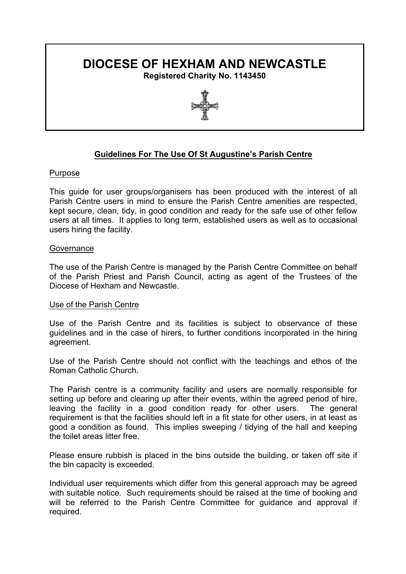# **DIOCESE OF HEXHAM AND NEWCASTLE**

**Registered Charity No. 1143450**



## **Guidelines For The Use Of St Augustine's Parish Centre**

## Purpose

This guide for user groups/organisers has been produced with the interest of all Parish Centre users in mind to ensure the Parish Centre amenities are respected, kept secure, clean, tidy, in good condition and ready for the safe use of other fellow users at all times. It applies to long term, established users as well as to occasional users hiring the facility.

## **Governance**

The use of the Parish Centre is managed by the Parish Centre Committee on behalf of the Parish Priest and Parish Council, acting as agent of the Trustees of the Diocese of Hexham and Newcastle.

## Use of the Parish Centre

Use of the Parish Centre and its facilities is subject to observance of these guidelines and in the case of hirers, to further conditions incorporated in the hiring agreement.

Use of the Parish Centre should not conflict with the teachings and ethos of the Roman Catholic Church.

The Parish centre is a community facility and users are normally responsible for setting up before and clearing up after their events, within the agreed period of hire, leaving the facility in a good condition ready for other users. The general requirement is that the facilities should left in a fit state for other users, in at least as good a condition as found. This implies sweeping / tidying of the hall and keeping the toilet areas litter free.

Please ensure rubbish is placed in the bins outside the building, or taken off site if the bin capacity is exceeded.

Individual user requirements which differ from this general approach may be agreed with suitable notice. Such requirements should be raised at the time of booking and will be referred to the Parish Centre Committee for guidance and approval if required.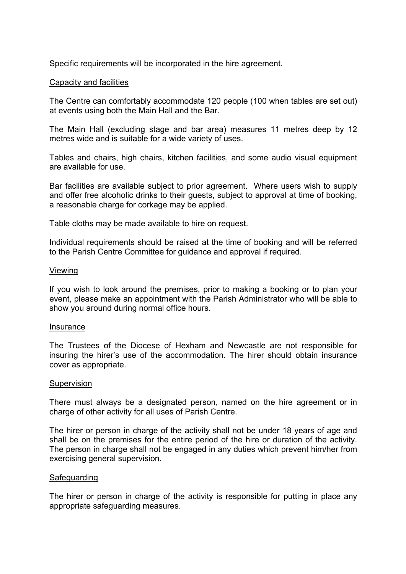Specific requirements will be incorporated in the hire agreement.

## Capacity and facilities

The Centre can comfortably accommodate 120 people (100 when tables are set out) at events using both the Main Hall and the Bar.

The Main Hall (excluding stage and bar area) measures 11 metres deep by 12 metres wide and is suitable for a wide variety of uses.

Tables and chairs, high chairs, kitchen facilities, and some audio visual equipment are available for use.

Bar facilities are available subject to prior agreement. Where users wish to supply and offer free alcoholic drinks to their guests, subject to approval at time of booking, a reasonable charge for corkage may be applied.

Table cloths may be made available to hire on request.

Individual requirements should be raised at the time of booking and will be referred to the Parish Centre Committee for guidance and approval if required.

## Viewing

If you wish to look around the premises, prior to making a booking or to plan your event, please make an appointment with the Parish Administrator who will be able to show you around during normal office hours.

## Insurance

The Trustees of the Diocese of Hexham and Newcastle are not responsible for insuring the hirer's use of the accommodation. The hirer should obtain insurance cover as appropriate.

## Supervision

There must always be a designated person, named on the hire agreement or in charge of other activity for all uses of Parish Centre.

The hirer or person in charge of the activity shall not be under 18 years of age and shall be on the premises for the entire period of the hire or duration of the activity. The person in charge shall not be engaged in any duties which prevent him/her from exercising general supervision.

## **Safeguarding**

The hirer or person in charge of the activity is responsible for putting in place any appropriate safeguarding measures.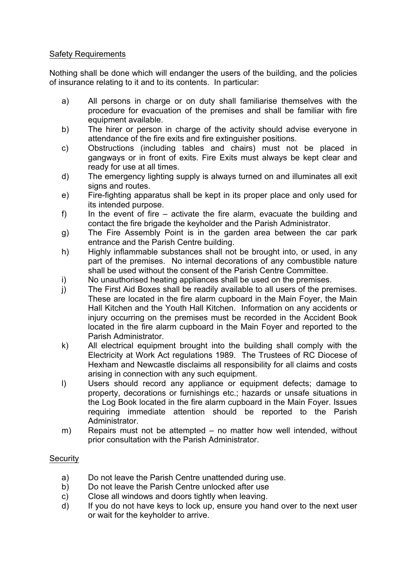## Safety Requirements

Nothing shall be done which will endanger the users of the building, and the policies of insurance relating to it and to its contents. In particular:

- a) All persons in charge or on duty shall familiarise themselves with the procedure for evacuation of the premises and shall be familiar with fire equipment available.
- b) The hirer or person in charge of the activity should advise everyone in attendance of the fire exits and fire extinguisher positions.
- c) Obstructions (including tables and chairs) must not be placed in gangways or in front of exits. Fire Exits must always be kept clear and ready for use at all times.
- d) The emergency lighting supply is always turned on and illuminates all exit signs and routes.
- e) Fire-fighting apparatus shall be kept in its proper place and only used for its intended purpose.
- f) In the event of fire activate the fire alarm, evacuate the building and contact the fire brigade the keyholder and the Parish Administrator.
- g) The Fire Assembly Point is in the garden area between the car park entrance and the Parish Centre building.
- h) Highly inflammable substances shall not be brought into, or used, in any part of the premises. No internal decorations of any combustible nature shall be used without the consent of the Parish Centre Committee.
- i) No unauthorised heating appliances shall be used on the premises.
- j) The First Aid Boxes shall be readily available to all users of the premises. These are located in the fire alarm cupboard in the Main Foyer, the Main Hall Kitchen and the Youth Hall Kitchen. Information on any accidents or injury occurring on the premises must be recorded in the Accident Book located in the fire alarm cupboard in the Main Foyer and reported to the Parish Administrator.
- k) All electrical equipment brought into the building shall comply with the Electricity at Work Act regulations 1989. The Trustees of RC Diocese of Hexham and Newcastle disclaims all responsibility for all claims and costs arising in connection with any such equipment.
- l) Users should record any appliance or equipment defects; damage to property, decorations or furnishings etc.; hazards or unsafe situations in the Log Book located in the fire alarm cupboard in the Main Foyer. Issues requiring immediate attention should be reported to the Parish Administrator.
- m) Repairs must not be attempted no matter how well intended, without prior consultation with the Parish Administrator.

## **Security**

- a) Do not leave the Parish Centre unattended during use.
- b) Do not leave the Parish Centre unlocked after use
- c) Close all windows and doors tightly when leaving.
- d) If you do not have keys to lock up, ensure you hand over to the next user or wait for the keyholder to arrive.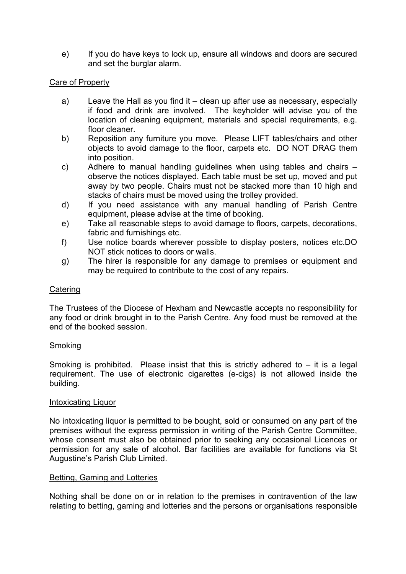e) If you do have keys to lock up, ensure all windows and doors are secured and set the burglar alarm.

## Care of Property

- a) Leave the Hall as you find it clean up after use as necessary, especially if food and drink are involved. The keyholder will advise you of the location of cleaning equipment, materials and special requirements, e.g. floor cleaner.
- b) Reposition any furniture you move. Please LIFT tables/chairs and other objects to avoid damage to the floor, carpets etc. DO NOT DRAG them into position.
- c) Adhere to manual handling guidelines when using tables and chairs observe the notices displayed. Each table must be set up, moved and put away by two people. Chairs must not be stacked more than 10 high and stacks of chairs must be moved using the trolley provided.
- d) If you need assistance with any manual handling of Parish Centre equipment, please advise at the time of booking.
- e) Take all reasonable steps to avoid damage to floors, carpets, decorations, fabric and furnishings etc.
- f) Use notice boards wherever possible to display posters, notices etc.DO NOT stick notices to doors or walls.
- g) The hirer is responsible for any damage to premises or equipment and may be required to contribute to the cost of any repairs.

## **Catering**

The Trustees of the Diocese of Hexham and Newcastle accepts no responsibility for any food or drink brought in to the Parish Centre. Any food must be removed at the end of the booked session.

## Smoking

Smoking is prohibited. Please insist that this is strictly adhered to  $-$  it is a legal requirement. The use of electronic cigarettes (e-cigs) is not allowed inside the building.

## Intoxicating Liquor

No intoxicating liquor is permitted to be bought, sold or consumed on any part of the premises without the express permission in writing of the Parish Centre Committee, whose consent must also be obtained prior to seeking any occasional Licences or permission for any sale of alcohol. Bar facilities are available for functions via St Augustine's Parish Club Limited.

## Betting, Gaming and Lotteries

Nothing shall be done on or in relation to the premises in contravention of the law relating to betting, gaming and lotteries and the persons or organisations responsible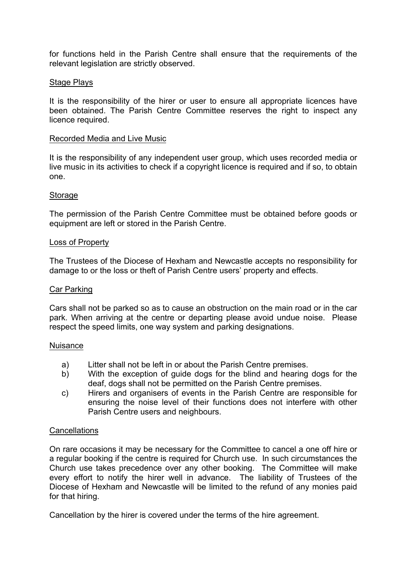for functions held in the Parish Centre shall ensure that the requirements of the relevant legislation are strictly observed.

## Stage Plays

It is the responsibility of the hirer or user to ensure all appropriate licences have been obtained. The Parish Centre Committee reserves the right to inspect any licence required.

## Recorded Media and Live Music

It is the responsibility of any independent user group, which uses recorded media or live music in its activities to check if a copyright licence is required and if so, to obtain one.

## Storage

The permission of the Parish Centre Committee must be obtained before goods or equipment are left or stored in the Parish Centre.

## Loss of Property

The Trustees of the Diocese of Hexham and Newcastle accepts no responsibility for damage to or the loss or theft of Parish Centre users' property and effects.

## Car Parking

Cars shall not be parked so as to cause an obstruction on the main road or in the car park. When arriving at the centre or departing please avoid undue noise. Please respect the speed limits, one way system and parking designations.

## Nuisance

- a) Litter shall not be left in or about the Parish Centre premises.
- b) With the exception of guide dogs for the blind and hearing dogs for the deaf, dogs shall not be permitted on the Parish Centre premises.
- c) Hirers and organisers of events in the Parish Centre are responsible for ensuring the noise level of their functions does not interfere with other Parish Centre users and neighbours.

## **Cancellations**

On rare occasions it may be necessary for the Committee to cancel a one off hire or a regular booking if the centre is required for Church use. In such circumstances the Church use takes precedence over any other booking. The Committee will make every effort to notify the hirer well in advance. The liability of Trustees of the Diocese of Hexham and Newcastle will be limited to the refund of any monies paid for that hiring.

Cancellation by the hirer is covered under the terms of the hire agreement.